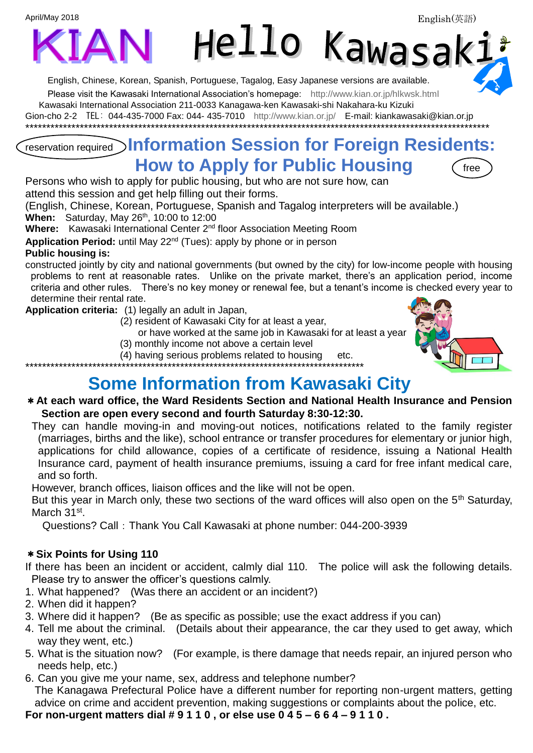April/May 2018



English, Chinese, Korean, Spanish, Portuguese, Tagalog, Easy Japanese versions are available. Please visit the Kawasaki International Association's homepage: <http://www.kian.or.jp/hlkwsk.html> Kawasaki International Association 211-0033 Kanagawa-ken Kawasaki-shi Nakahara-ku Kizuki

Gion-cho 2-2 TEL: 044-435-7000 Fax: 044- 435-7010 <http://www.kian.or.jp/>E-mail: kiankawasaki@kian.or.jp \*\*\*\*\*\*\*\*\*\*\*\*\*\*\*\*\*\*\*\*\*\*\*\*\*\*\*\*\*\*\*\*\*\*\*\*\*\*\*\*\*\*\*\*\*\*\*\*\*\*\*\*\*\*\*\*\*\*\*\*\*\*\*\*\*\*\*\*\*\*\*\*\*\*\*\*\*\*\*\*\*\*\*\*\*\*\*\*\*\*\*\*\*\*\*\*\*\*\*\*\*\*\*\*\*\*\*\*\*\*\*

### reservation required **Information Session for Foreign Residents: How to Apply for Public Housing**

Persons who wish to apply for public housing, but who are not sure how, can attend this session and get help filling out their forms.

(English, Chinese, Korean, Portuguese, Spanish and Tagalog interpreters will be available.) **When:** Saturday, May 26<sup>th</sup>, 10:00 to 12:00

**Where:** Kawasaki International Center 2<sup>nd</sup> floor Association Meeting Room

Application Period: until May 22<sup>nd</sup> (Tues): apply by phone or in person

#### **Public housing is:**

constructed jointly by city and national governments (but owned by the city) for low-income people with housing problems to rent at reasonable rates. Unlike on the private market, there's an application period, income criteria and other rules. There's no key money or renewal fee, but a tenant's income is checked every year to determine their rental rate.

**Application criteria:** (1) legally an adult in Japan,

(2) resident of Kawasaki City for at least a year,

or have worked at the same job in Kawasaki for at least a year

(3) monthly income not above a certain level

(4) having serious problems related to housing etc.

\*\*\*\*\*\*\*\*\*\*\*\*\*\*\*\*\*\*\*\*\*\*\*\*\*\*\*\*\*\*\*\*\*\*\*\*\*\*\*\*\*\*\*\*\*\*\*\*\*\*\*\*\*\*\*\*\*\*\*\*\*\*\*\*\*\*\*\*\*\*\*\*\*\*\*\*\*\*\*\*\*

### **Some Information from Kawasaki City**

#### \***At each ward office, the Ward Residents Section and National Health Insurance and Pension Section are open every second and fourth Saturday 8:30-12:30.**

They can handle moving-in and moving-out notices, notifications related to the family register (marriages, births and the like), school entrance or transfer procedures for elementary or junior high, applications for child allowance, copies of a certificate of residence, issuing a National Health Insurance card, payment of health insurance premiums, issuing a card for free infant medical care, and so forth.

However, branch offices, liaison offices and the like will not be open.

But this year in March only, these two sections of the ward offices will also open on the 5<sup>th</sup> Saturday, March 31<sup>st</sup>.

Questions? Call: Thank You Call Kawasaki at phone number: 044-200-3939

#### \***Six Points for Using 110**

If there has been an incident or accident, calmly dial 110. The police will ask the following details. Please try to answer the officer's questions calmly.

- 1. What happened? (Was there an accident or an incident?)
- 2. When did it happen?
- 3. Where did it happen? (Be as specific as possible; use the exact address if you can)
- 4. Tell me about the criminal. (Details about their appearance, the car they used to get away, which way they went, etc.)
- 5. What is the situation now? (For example, is there damage that needs repair, an injured person who needs help, etc.)
- 6. Can you give me your name, sex, address and telephone number? The Kanagawa Prefectural Police have a different number for reporting non-urgent matters, getting advice on crime and accident prevention, making suggestions or complaints about the police, etc.

**For non-urgent matters dial # 9 1 1 0 , or else use 0 4 5 – 6 6 4 – 9 1 1 0 .**